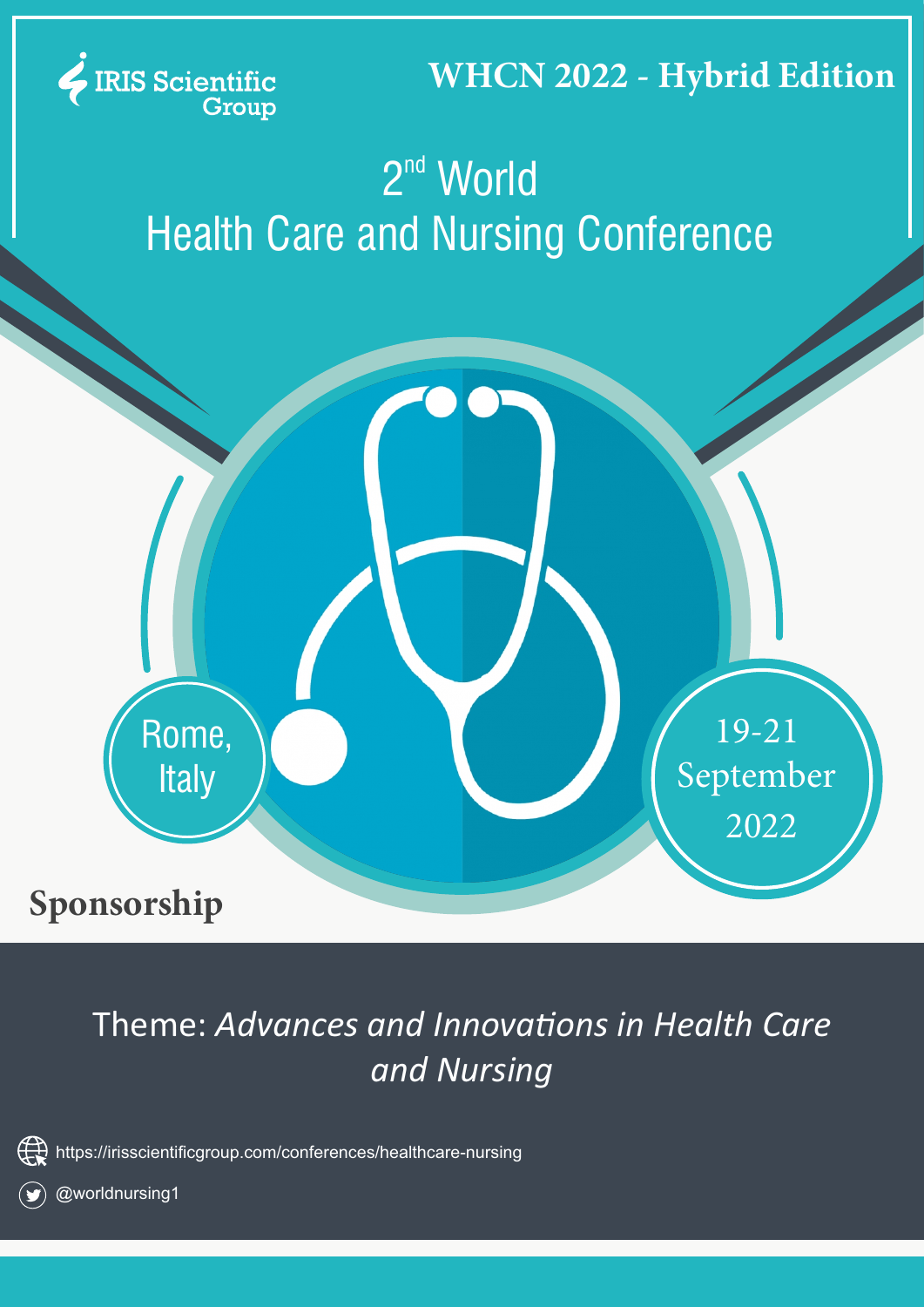

### **WHCN 2022 - Hybrid Edition**

# $2<sup>nd</sup>$  World **Health Care and Nursing Conference**



## Sponsorship

## Theme: Advances and Innovations in Health Care and Nursing



https://irisscientificgroup.com/conferences/healthcare-nursing



@worldnursing1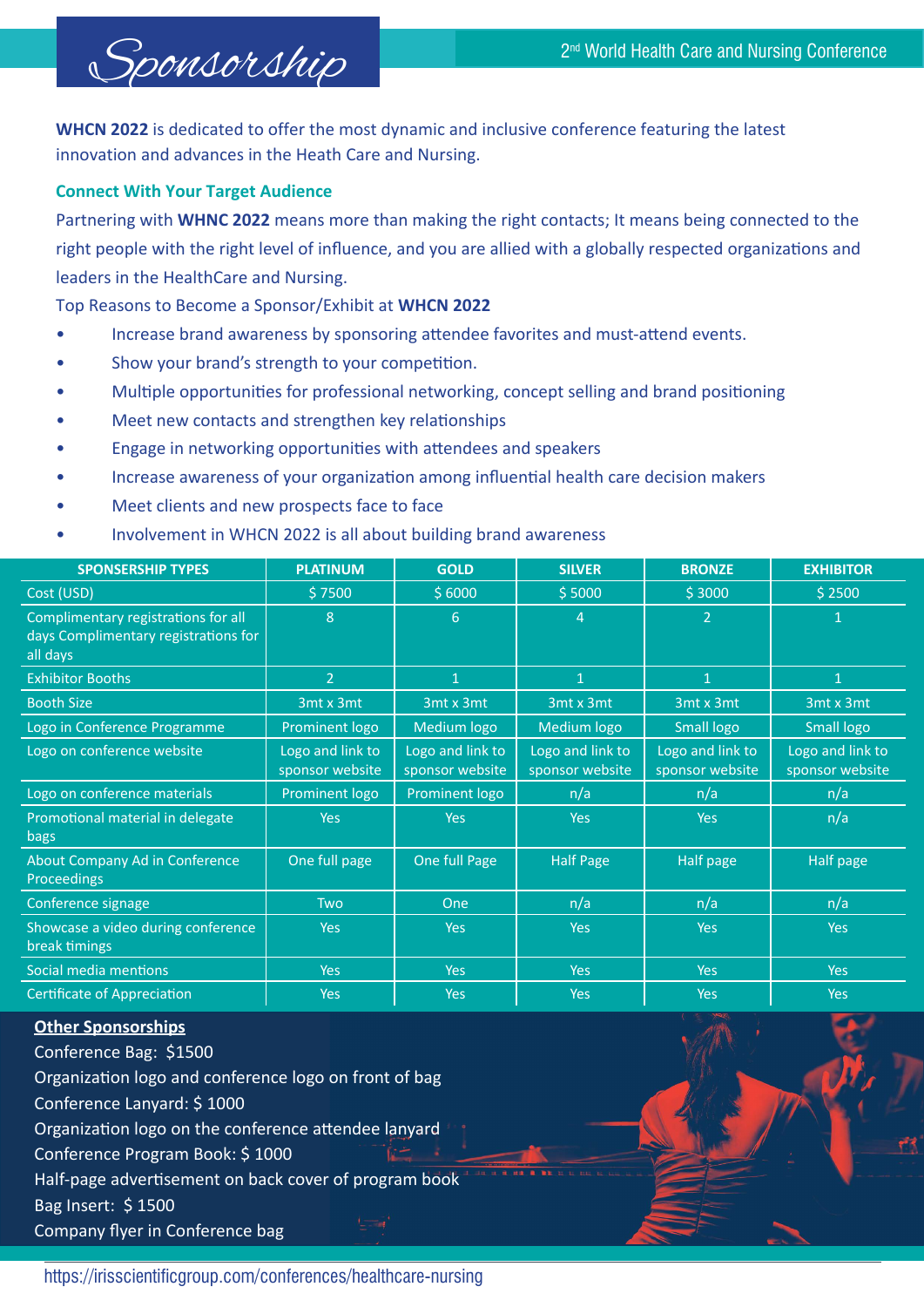

**WHCN 2022** is dedicated to offer the most dynamic and inclusive conference featuring the latest innovation and advances in the Heath Care and Nursing.

#### **Connect With Your Target Audience**

Partnering with WHNC 2022 means more than making the right contacts; It means being connected to the right people with the right level of influence, and you are allied with a globally respected organizations and leaders in the HealthCare and Nursing.

**70p Reasons to Become a Sponsor/Exhibit at WHCN 2022** 

- Increase brand awareness by sponsoring attendee favorites and must-attend events.
- Show your brand's strength to your competition.
- Multiple opportunities for professional networking, concept selling and brand positioning
- Meet new contacts and strengthen key relationships
- Engage in networking opportunities with attendees and speakers
- Increase awareness of your organization among influential health care decision makers
- Meet clients and new prospects face to face
- Involvement in WHCN 2022 is all about building brand awareness

| <b>SPONSERSHIP TYPES</b>                                                                | <b>PLATINUM</b>                     | <b>GOLD</b>                         | <b>SILVER</b>                       | <b>BRONZE</b>                       | <b>EXHIBITOR</b>                    |
|-----------------------------------------------------------------------------------------|-------------------------------------|-------------------------------------|-------------------------------------|-------------------------------------|-------------------------------------|
| Cost (USD)                                                                              | \$7500                              | \$6000                              | \$5000                              | \$3000                              | \$2500                              |
| Complimentary registrations for all<br>days Complimentary registrations for<br>all days | 8                                   | 6                                   | 4                                   | $\overline{2}$                      | 1                                   |
| <b>Exhibitor Booths</b>                                                                 | $\overline{2}$                      | $\mathbf{1}$                        | $\mathbf{1}$                        | 1                                   | n                                   |
| <b>Booth Size</b>                                                                       | 3mt x 3mt                           | 3mt x 3mt                           | 3mt x 3mt                           | 3mt x 3mt                           | 3mt x 3mt                           |
| Logo in Conference Programme                                                            | Prominent logo                      | Medium logo                         | Medium logo                         | Small logo                          | Small logo                          |
| Logo on conference website                                                              | Logo and link to<br>sponsor website | Logo and link to<br>sponsor website | Logo and link to<br>sponsor website | Logo and link to<br>sponsor website | Logo and link to<br>sponsor website |
| Logo on conference materials                                                            | Prominent logo                      | Prominent logo                      | n/a                                 | n/a                                 | n/a                                 |
| Promotional material in delegate<br>bags                                                | <b>Yes</b>                          | <b>Yes</b>                          | <b>Yes</b>                          | <b>Yes</b>                          | n/a                                 |
| About Company Ad in Conference<br><b>Proceedings</b>                                    | One full page                       | One full Page                       | <b>Half Page</b>                    | Half page                           | Half page                           |
| Conference signage                                                                      | <b>Two</b>                          | One                                 | n/a                                 | n/a                                 | n/a                                 |
| Showcase a video during conference<br>break timings                                     | <b>Yes</b>                          | <b>Yes</b>                          | <b>Yes</b>                          | <b>Yes</b>                          | <b>Yes</b>                          |
| Social media mentions                                                                   | <b>Yes</b>                          | <b>Yes</b>                          | Yes                                 | Yes                                 | Yes                                 |
| <b>Certificate of Appreciation</b>                                                      | <b>Yes</b>                          | <b>Yes</b>                          | <b>Yes</b>                          | Yes                                 | Yes                                 |

### **Other Sponsorships**

Conference Bag: \$1500 Organization logo and conference logo on front of bag Conference Lanyard: \$1000 Organization logo on the conference attendee lanyard Conference Program Book: \$1000 Half-page advertisement on back cover of program book Bag Insert: \$1500 Company flyer in Conference bag

https://irisscientificgroup.com/conferences/healthcare-nursing